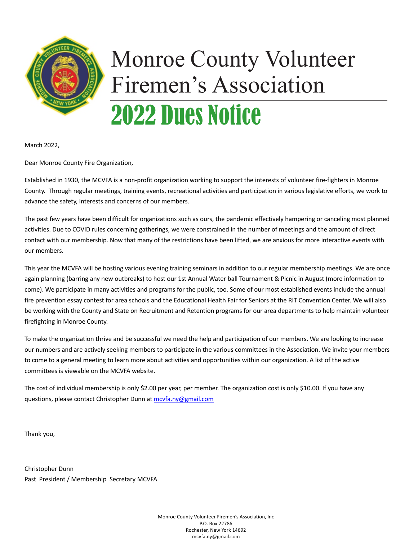

# Monroe County Volunteer Firemen's Association 2022 Dues Notice

March 2022,

Dear Monroe County Fire Organization,

Established in 1930, the MCVFA is a non-profit organization working to support the interests of volunteer fire-fighters in Monroe County. Through regular meetings, training events, recreational activities and participation in various legislative efforts, we work to advance the safety, interests and concerns of our members.

The past few years have been difficult for organizations such as ours, the pandemic effectively hampering or canceling most planned activities. Due to COVID rules concerning gatherings, we were constrained in the number of meetings and the amount of direct contact with our membership. Now that many of the restrictions have been lifted, we are anxious for more interactive events with our members.

This year the MCVFA will be hosting various evening training seminars in addition to our regular membership meetings. We are once again planning (barring any new outbreaks) to host our 1st Annual Water ball Tournament & Picnic in August (more information to come). We participate in many activities and programs for the public, too. Some of our most established events include the annual fire prevention essay contest for area schools and the Educational Health Fair for Seniors at the RIT Convention Center. We will also be working with the County and State on Recruitment and Retention programs for our area departments to help maintain volunteer firefighting in Monroe County.

To make the organization thrive and be successful we need the help and participation of our members. We are looking to increase our numbers and are actively seeking members to participate in the various committees in the Association. We invite your members to come to a general meeting to learn more about activities and opportunities within our organization. A list of the active committees is viewable on the MCVFA website.

The cost of individual membership is only \$2.00 per year, per member. The organization cost is only \$10.00. If you have any questions, please contact Christopher Dunn at mcvfa.ny@gmail.com

Thank you,

Christopher Dunn Past President / Membership Secretary MCVFA

> Monroe County Volunteer Firemen's Association, Inc P.O. Box 22786 Rochester, New York 14692 mcvfa.ny@gmail.com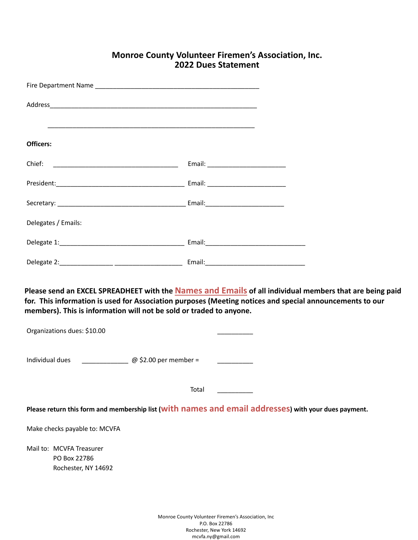#### **Monroe County Volunteer Firemen's Association, Inc. 2022 Dues Statement**

| Officers:                                                                                          |                                                                                                                                                                                                                            |
|----------------------------------------------------------------------------------------------------|----------------------------------------------------------------------------------------------------------------------------------------------------------------------------------------------------------------------------|
|                                                                                                    |                                                                                                                                                                                                                            |
|                                                                                                    |                                                                                                                                                                                                                            |
|                                                                                                    |                                                                                                                                                                                                                            |
| Delegates / Emails:                                                                                |                                                                                                                                                                                                                            |
|                                                                                                    |                                                                                                                                                                                                                            |
|                                                                                                    |                                                                                                                                                                                                                            |
| members). This is information will not be sold or traded to anyone.<br>Organizations dues: \$10.00 | Please send an EXCEL SPREADHEET with the <b>Names and Emails</b> of all individual members that are being paid<br>for. This information is used for Association purposes (Meeting notices and special announcements to our |
| Individual dues $\qquad \qquad \textcircled{a}$ \$2.00 per member =                                |                                                                                                                                                                                                                            |
|                                                                                                    | Total                                                                                                                                                                                                                      |
|                                                                                                    | Please return this form and membership list (with names and email addresses) with your dues payment.                                                                                                                       |
| Make checks payable to: MCVFA                                                                      |                                                                                                                                                                                                                            |
| Mail to: MCVFA Treasurer<br>PO Box 22786<br>Rochester, NY 14692                                    |                                                                                                                                                                                                                            |